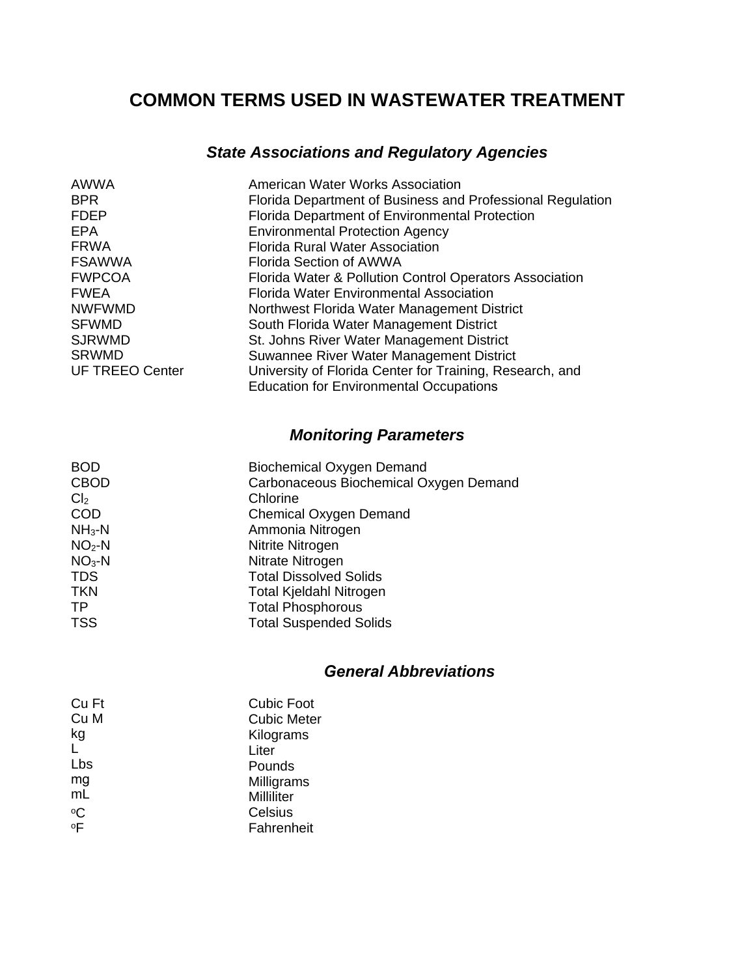## **COMMON TERMS USED IN WASTEWATER TREATMENT**

## *State Associations and Regulatory Agencies*

| <b>AWWA</b>            | American Water Works Association                           |
|------------------------|------------------------------------------------------------|
| <b>BPR</b>             | Florida Department of Business and Professional Regulation |
| <b>FDEP</b>            | <b>Florida Department of Environmental Protection</b>      |
| EPA                    | <b>Environmental Protection Agency</b>                     |
| <b>FRWA</b>            | <b>Florida Rural Water Association</b>                     |
| <b>FSAWWA</b>          | Florida Section of AWWA                                    |
| <b>FWPCOA</b>          | Florida Water & Pollution Control Operators Association    |
| <b>FWEA</b>            | <b>Florida Water Environmental Association</b>             |
| <b>NWFWMD</b>          | Northwest Florida Water Management District                |
| <b>SFWMD</b>           | South Florida Water Management District                    |
| <b>SJRWMD</b>          | St. Johns River Water Management District                  |
| SRWMD                  | Suwannee River Water Management District                   |
| <b>UF TREEO Center</b> | University of Florida Center for Training, Research, and   |
|                        | <b>Education for Environmental Occupations</b>             |

### *Monitoring Parameters*

| <b>BOD</b>      | <b>Biochemical Oxygen Demand</b>       |
|-----------------|----------------------------------------|
| <b>CBOD</b>     | Carbonaceous Biochemical Oxygen Demand |
| Cl <sub>2</sub> | Chlorine                               |
| <b>COD</b>      | <b>Chemical Oxygen Demand</b>          |
| $NH3-N$         | Ammonia Nitrogen                       |
| $NO2 - N$       | Nitrite Nitrogen                       |
| $NO3 - N$       | Nitrate Nitrogen                       |
| <b>TDS</b>      | <b>Total Dissolved Solids</b>          |
| <b>TKN</b>      | <b>Total Kjeldahl Nitrogen</b>         |
| TP.             | <b>Total Phosphorous</b>               |
| <b>TSS</b>      | <b>Total Suspended Solids</b>          |

### *General Abbreviations*

| Cu Ft       | <b>Cubic Foot</b>  |
|-------------|--------------------|
| Cu M        | <b>Cubic Meter</b> |
| kg          | Kilograms          |
|             | Liter              |
| Lbs         | Pounds             |
| mg          | Milligrams         |
| mL          | <b>Milliliter</b>  |
| $\rm ^{o}C$ | Celsius            |
| ٥F          | Fahrenheit         |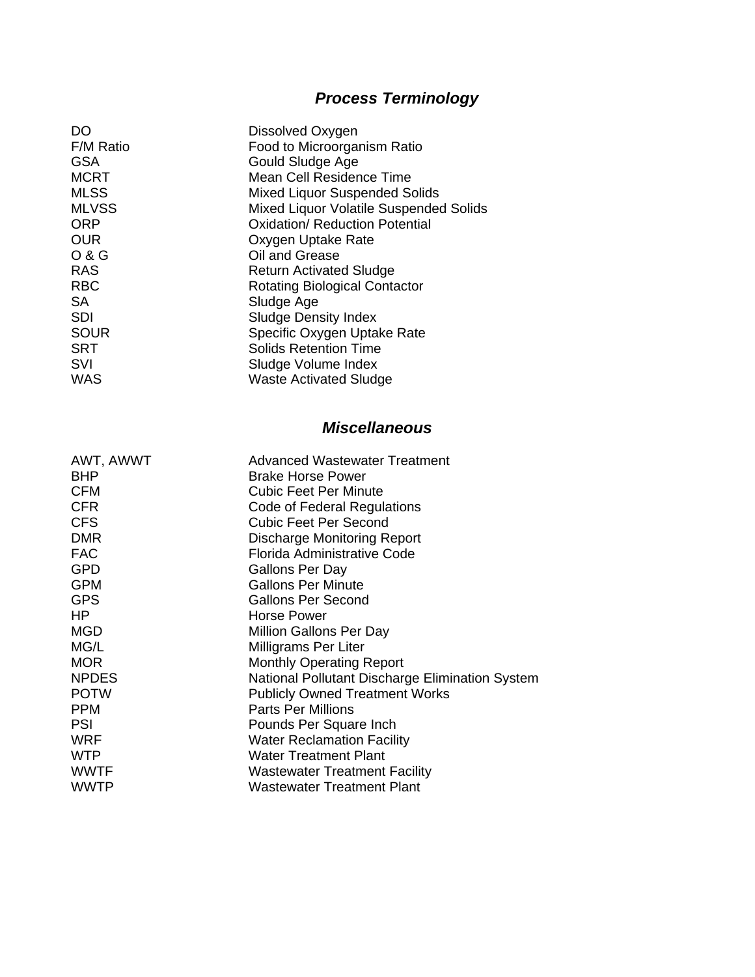# *Process Terminology*

| Food to Microorganism Ratio<br>F/M Ratio<br><b>GSA</b><br>Gould Sludge Age<br><b>MCRT</b><br>Mean Cell Residence Time | DO          | Dissolved Oxygen                       |
|-----------------------------------------------------------------------------------------------------------------------|-------------|----------------------------------------|
|                                                                                                                       |             |                                        |
|                                                                                                                       |             |                                        |
|                                                                                                                       |             |                                        |
|                                                                                                                       | <b>MLSS</b> | <b>Mixed Liquor Suspended Solids</b>   |
| <b>MLVSS</b>                                                                                                          |             | Mixed Liquor Volatile Suspended Solids |
| <b>Oxidation/ Reduction Potential</b><br><b>ORP</b>                                                                   |             |                                        |
| <b>OUR</b><br>Oxygen Uptake Rate                                                                                      |             |                                        |
| <b>O &amp; G</b><br>Oil and Grease                                                                                    |             |                                        |
| <b>RAS</b><br><b>Return Activated Sludge</b>                                                                          |             |                                        |
| <b>RBC</b><br><b>Rotating Biological Contactor</b>                                                                    |             |                                        |
| <b>SA</b><br>Sludge Age                                                                                               |             |                                        |
| <b>SDI</b><br><b>Sludge Density Index</b>                                                                             |             |                                        |
| <b>SOUR</b><br>Specific Oxygen Uptake Rate                                                                            |             |                                        |
| <b>SRT</b><br><b>Solids Retention Time</b>                                                                            |             |                                        |
| <b>SVI</b><br>Sludge Volume Index                                                                                     |             |                                        |
| <b>WAS</b><br><b>Waste Activated Sludge</b>                                                                           |             |                                        |

### *Miscellaneous*

| Advanced Wastewater Treatment                   |
|-------------------------------------------------|
| <b>Brake Horse Power</b>                        |
| Cubic Feet Per Minute                           |
| Code of Federal Regulations                     |
| <b>Cubic Feet Per Second</b>                    |
| Discharge Monitoring Report                     |
| Florida Administrative Code                     |
| Gallons Per Day                                 |
| Gallons Per Minute                              |
| Gallons Per Second                              |
| Horse Power                                     |
| Million Gallons Per Day                         |
| Milligrams Per Liter                            |
| <b>Monthly Operating Report</b>                 |
| National Pollutant Discharge Elimination System |
| <b>Publicly Owned Treatment Works</b>           |
| <b>Parts Per Millions</b>                       |
| Pounds Per Square Inch                          |
| <b>Water Reclamation Facility</b>               |
| <b>Water Treatment Plant</b>                    |
| <b>Wastewater Treatment Facility</b>            |
| <b>Wastewater Treatment Plant</b>               |
|                                                 |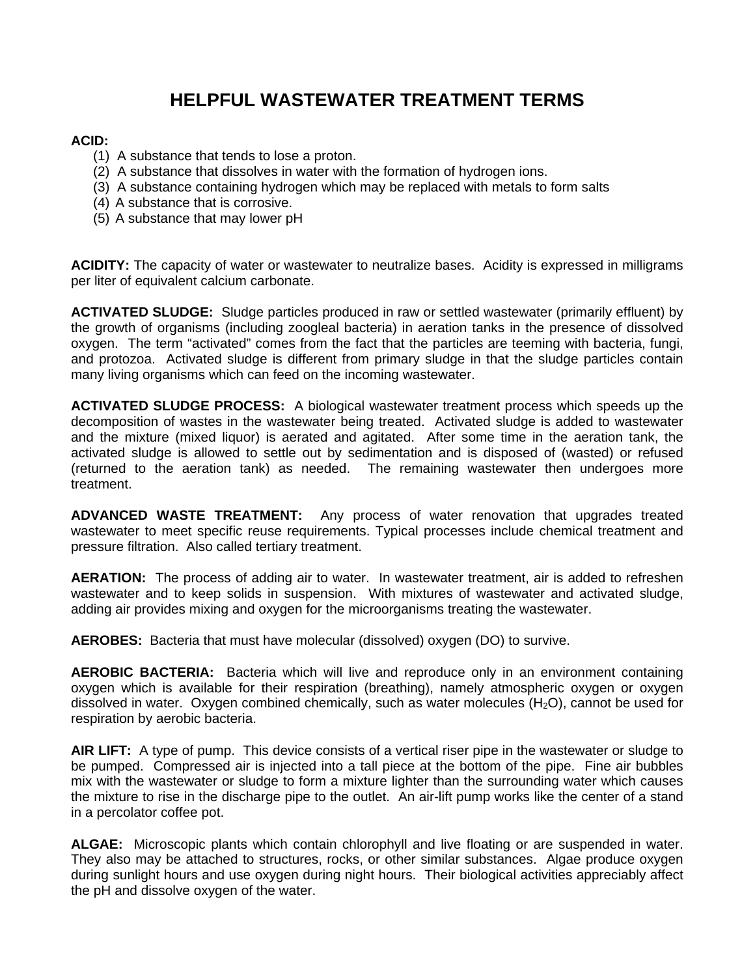## **HELPFUL WASTEWATER TREATMENT TERMS**

#### **ACID:**

- (1) A substance that tends to lose a proton.
- (2) A substance that dissolves in water with the formation of hydrogen ions.
- (3) A substance containing hydrogen which may be replaced with metals to form salts
- (4) A substance that is corrosive.
- (5) A substance that may lower pH

**ACIDITY:** The capacity of water or wastewater to neutralize bases. Acidity is expressed in milligrams per liter of equivalent calcium carbonate.

**ACTIVATED SLUDGE:** Sludge particles produced in raw or settled wastewater (primarily effluent) by the growth of organisms (including zoogleal bacteria) in aeration tanks in the presence of dissolved oxygen. The term "activated" comes from the fact that the particles are teeming with bacteria, fungi, and protozoa. Activated sludge is different from primary sludge in that the sludge particles contain many living organisms which can feed on the incoming wastewater.

**ACTIVATED SLUDGE PROCESS:** A biological wastewater treatment process which speeds up the decomposition of wastes in the wastewater being treated. Activated sludge is added to wastewater and the mixture (mixed liquor) is aerated and agitated. After some time in the aeration tank, the activated sludge is allowed to settle out by sedimentation and is disposed of (wasted) or refused (returned to the aeration tank) as needed. The remaining wastewater then undergoes more treatment.

**ADVANCED WASTE TREATMENT:** Any process of water renovation that upgrades treated wastewater to meet specific reuse requirements. Typical processes include chemical treatment and pressure filtration. Also called tertiary treatment.

**AERATION:** The process of adding air to water. In wastewater treatment, air is added to refreshen wastewater and to keep solids in suspension. With mixtures of wastewater and activated sludge, adding air provides mixing and oxygen for the microorganisms treating the wastewater.

**AEROBES:** Bacteria that must have molecular (dissolved) oxygen (DO) to survive.

**AEROBIC BACTERIA:** Bacteria which will live and reproduce only in an environment containing oxygen which is available for their respiration (breathing), namely atmospheric oxygen or oxygen dissolved in water. Oxygen combined chemically, such as water molecules  $(H<sub>2</sub>O)$ , cannot be used for respiration by aerobic bacteria.

**AIR LIFT:** A type of pump. This device consists of a vertical riser pipe in the wastewater or sludge to be pumped. Compressed air is injected into a tall piece at the bottom of the pipe. Fine air bubbles mix with the wastewater or sludge to form a mixture lighter than the surrounding water which causes the mixture to rise in the discharge pipe to the outlet. An air-lift pump works like the center of a stand in a percolator coffee pot.

**ALGAE:** Microscopic plants which contain chlorophyll and live floating or are suspended in water. They also may be attached to structures, rocks, or other similar substances. Algae produce oxygen during sunlight hours and use oxygen during night hours. Their biological activities appreciably affect the pH and dissolve oxygen of the water.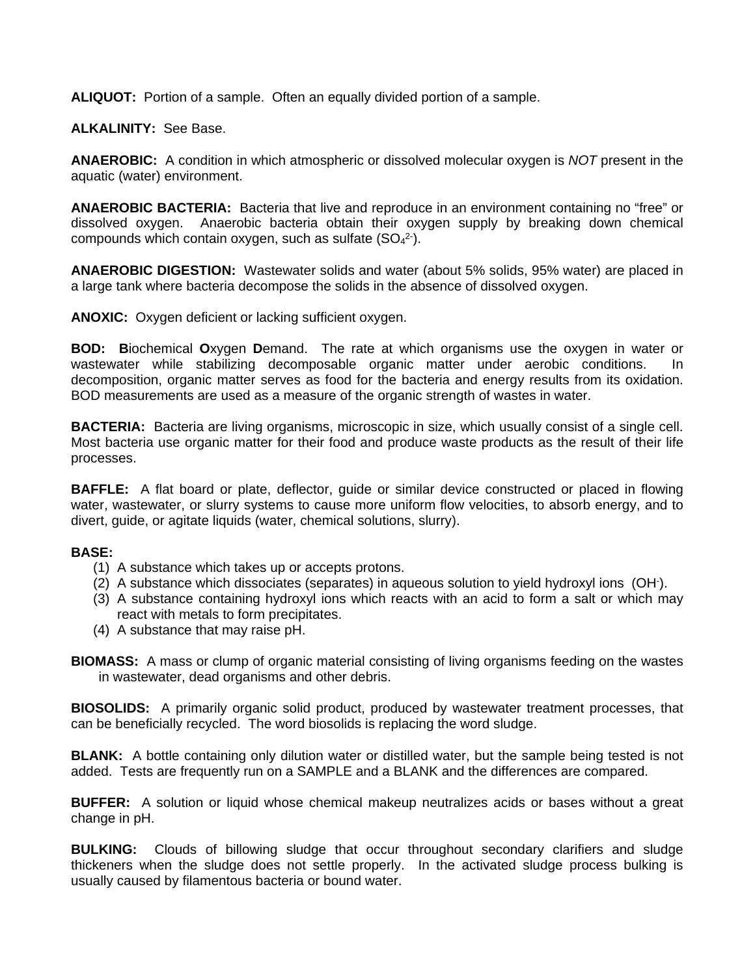**ALIQUOT:** Portion of a sample. Often an equally divided portion of a sample.

#### **ALKALINITY:** See Base.

**ANAEROBIC:** A condition in which atmospheric or dissolved molecular oxygen is *NOT* present in the aquatic (water) environment.

**ANAEROBIC BACTERIA:** Bacteria that live and reproduce in an environment containing no "free" or dissolved oxygen. Anaerobic bacteria obtain their oxygen supply by breaking down chemical compounds which contain oxygen, such as sulfate  $(SO<sub>4</sub><sup>2</sup>)$ .

**ANAEROBIC DIGESTION:** Wastewater solids and water (about 5% solids, 95% water) are placed in a large tank where bacteria decompose the solids in the absence of dissolved oxygen.

**ANOXIC:** Oxygen deficient or lacking sufficient oxygen.

**BOD: B**iochemical **O**xygen **D**emand. The rate at which organisms use the oxygen in water or wastewater while stabilizing decomposable organic matter under aerobic conditions. In decomposition, organic matter serves as food for the bacteria and energy results from its oxidation. BOD measurements are used as a measure of the organic strength of wastes in water.

**BACTERIA:** Bacteria are living organisms, microscopic in size, which usually consist of a single cell. Most bacteria use organic matter for their food and produce waste products as the result of their life processes.

**BAFFLE:** A flat board or plate, deflector, guide or similar device constructed or placed in flowing water, wastewater, or slurry systems to cause more uniform flow velocities, to absorb energy, and to divert, guide, or agitate liquids (water, chemical solutions, slurry).

#### **BASE:**

- (1) A substance which takes up or accepts protons.
- (2) A substance which dissociates (separates) in aqueous solution to yield hydroxyl ions (OH- ).
- (3) A substance containing hydroxyl ions which reacts with an acid to form a salt or which may react with metals to form precipitates.
- (4) A substance that may raise pH.
- **BIOMASS:** A mass or clump of organic material consisting of living organisms feeding on the wastes in wastewater, dead organisms and other debris.

**BIOSOLIDS:** A primarily organic solid product, produced by wastewater treatment processes, that can be beneficially recycled. The word biosolids is replacing the word sludge.

**BLANK:** A bottle containing only dilution water or distilled water, but the sample being tested is not added. Tests are frequently run on a SAMPLE and a BLANK and the differences are compared.

**BUFFER:** A solution or liquid whose chemical makeup neutralizes acids or bases without a great change in pH.

**BULKING:** Clouds of billowing sludge that occur throughout secondary clarifiers and sludge thickeners when the sludge does not settle properly. In the activated sludge process bulking is usually caused by filamentous bacteria or bound water.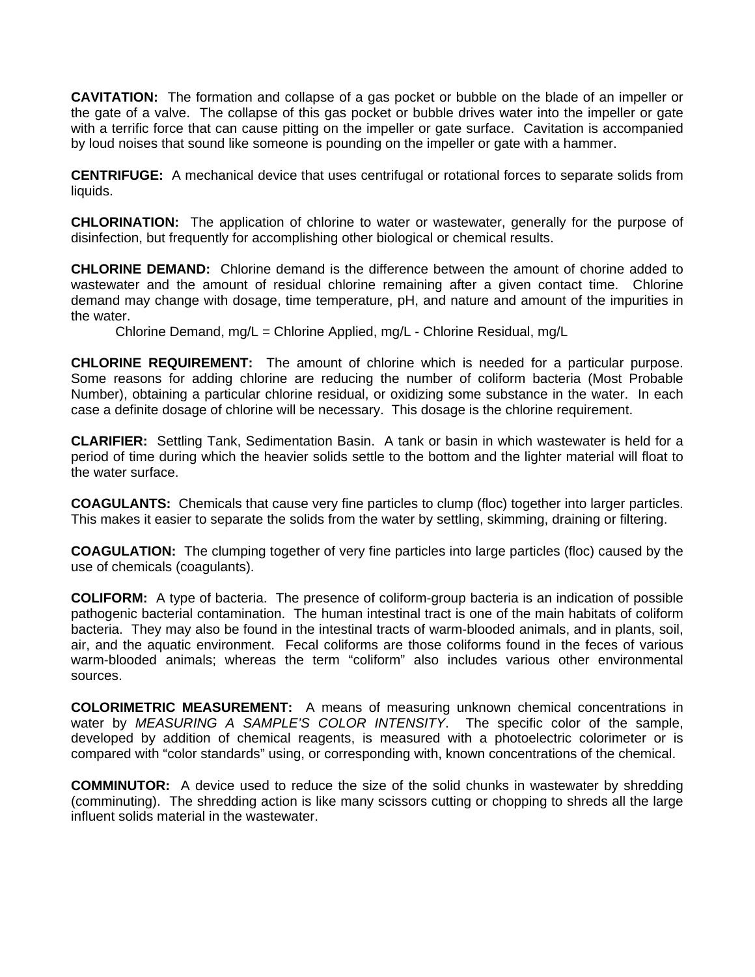**CAVITATION:** The formation and collapse of a gas pocket or bubble on the blade of an impeller or the gate of a valve. The collapse of this gas pocket or bubble drives water into the impeller or gate with a terrific force that can cause pitting on the impeller or gate surface. Cavitation is accompanied by loud noises that sound like someone is pounding on the impeller or gate with a hammer.

**CENTRIFUGE:** A mechanical device that uses centrifugal or rotational forces to separate solids from liquids.

**CHLORINATION:** The application of chlorine to water or wastewater, generally for the purpose of disinfection, but frequently for accomplishing other biological or chemical results.

**CHLORINE DEMAND:** Chlorine demand is the difference between the amount of chorine added to wastewater and the amount of residual chlorine remaining after a given contact time. Chlorine demand may change with dosage, time temperature, pH, and nature and amount of the impurities in the water.

Chlorine Demand, mg/L = Chlorine Applied, mg/L - Chlorine Residual, mg/L

**CHLORINE REQUIREMENT:** The amount of chlorine which is needed for a particular purpose. Some reasons for adding chlorine are reducing the number of coliform bacteria (Most Probable Number), obtaining a particular chlorine residual, or oxidizing some substance in the water. In each case a definite dosage of chlorine will be necessary. This dosage is the chlorine requirement.

**CLARIFIER:** Settling Tank, Sedimentation Basin. A tank or basin in which wastewater is held for a period of time during which the heavier solids settle to the bottom and the lighter material will float to the water surface.

**COAGULANTS:** Chemicals that cause very fine particles to clump (floc) together into larger particles. This makes it easier to separate the solids from the water by settling, skimming, draining or filtering.

**COAGULATION:** The clumping together of very fine particles into large particles (floc) caused by the use of chemicals (coagulants).

**COLIFORM:** A type of bacteria. The presence of coliform-group bacteria is an indication of possible pathogenic bacterial contamination. The human intestinal tract is one of the main habitats of coliform bacteria. They may also be found in the intestinal tracts of warm-blooded animals, and in plants, soil, air, and the aquatic environment. Fecal coliforms are those coliforms found in the feces of various warm-blooded animals; whereas the term "coliform" also includes various other environmental sources.

**COLORIMETRIC MEASUREMENT:** A means of measuring unknown chemical concentrations in water by *MEASURING A SAMPLE'S COLOR INTENSITY*. The specific color of the sample, developed by addition of chemical reagents, is measured with a photoelectric colorimeter or is compared with "color standards" using, or corresponding with, known concentrations of the chemical.

**COMMINUTOR:** A device used to reduce the size of the solid chunks in wastewater by shredding (comminuting). The shredding action is like many scissors cutting or chopping to shreds all the large influent solids material in the wastewater.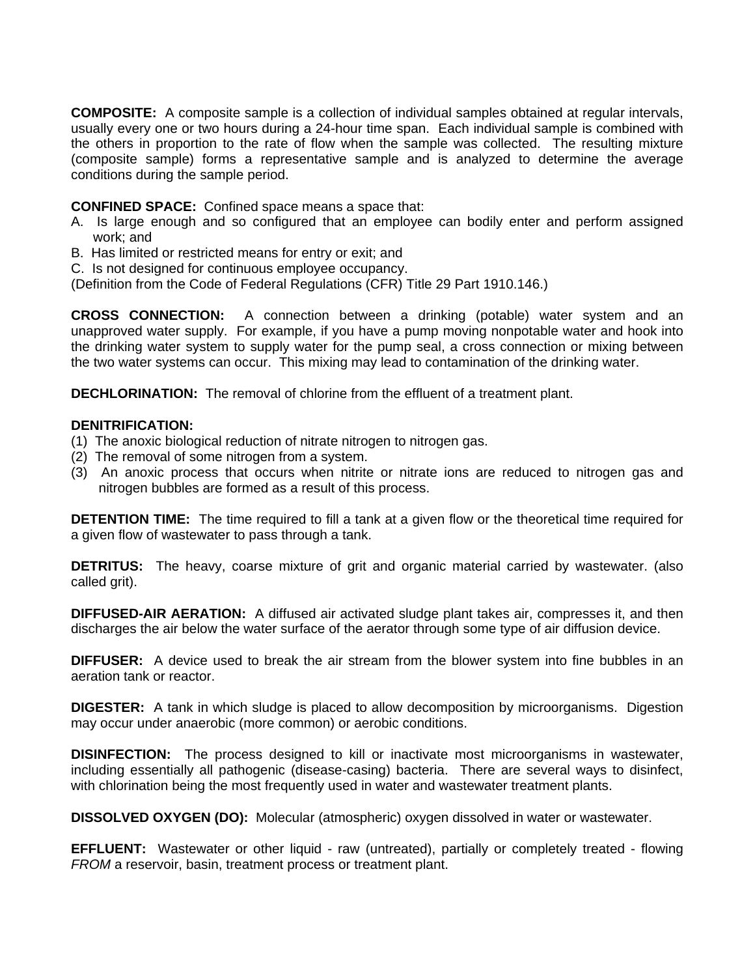**COMPOSITE:** A composite sample is a collection of individual samples obtained at regular intervals, usually every one or two hours during a 24-hour time span. Each individual sample is combined with the others in proportion to the rate of flow when the sample was collected. The resulting mixture (composite sample) forms a representative sample and is analyzed to determine the average conditions during the sample period.

#### **CONFINED SPACE:** Confined space means a space that:

- A. Is large enough and so configured that an employee can bodily enter and perform assigned work; and
- B. Has limited or restricted means for entry or exit; and
- C. Is not designed for continuous employee occupancy.

(Definition from the Code of Federal Regulations (CFR) Title 29 Part 1910.146.)

**CROSS CONNECTION:** A connection between a drinking (potable) water system and an unapproved water supply. For example, if you have a pump moving nonpotable water and hook into the drinking water system to supply water for the pump seal, a cross connection or mixing between the two water systems can occur. This mixing may lead to contamination of the drinking water.

**DECHLORINATION:** The removal of chlorine from the effluent of a treatment plant.

#### **DENITRIFICATION:**

- (1) The anoxic biological reduction of nitrate nitrogen to nitrogen gas.
- (2) The removal of some nitrogen from a system.
- (3) An anoxic process that occurs when nitrite or nitrate ions are reduced to nitrogen gas and nitrogen bubbles are formed as a result of this process.

**DETENTION TIME:** The time required to fill a tank at a given flow or the theoretical time required for a given flow of wastewater to pass through a tank.

**DETRITUS:** The heavy, coarse mixture of grit and organic material carried by wastewater. (also called grit).

**DIFFUSED-AIR AERATION:** A diffused air activated sludge plant takes air, compresses it, and then discharges the air below the water surface of the aerator through some type of air diffusion device.

**DIFFUSER:** A device used to break the air stream from the blower system into fine bubbles in an aeration tank or reactor.

**DIGESTER:** A tank in which sludge is placed to allow decomposition by microorganisms. Digestion may occur under anaerobic (more common) or aerobic conditions.

**DISINFECTION:** The process designed to kill or inactivate most microorganisms in wastewater, including essentially all pathogenic (disease-casing) bacteria. There are several ways to disinfect, with chlorination being the most frequently used in water and wastewater treatment plants.

**DISSOLVED OXYGEN (DO):** Molecular (atmospheric) oxygen dissolved in water or wastewater.

**EFFLUENT:** Wastewater or other liquid - raw (untreated), partially or completely treated - flowing *FROM* a reservoir, basin, treatment process or treatment plant.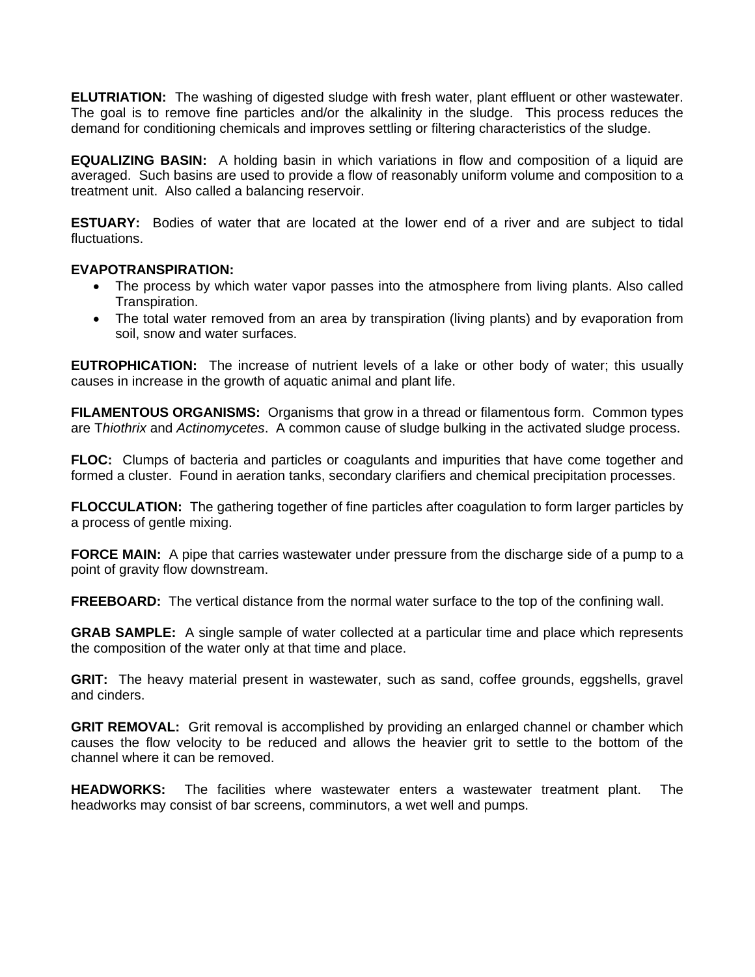**ELUTRIATION:** The washing of digested sludge with fresh water, plant effluent or other wastewater. The goal is to remove fine particles and/or the alkalinity in the sludge. This process reduces the demand for conditioning chemicals and improves settling or filtering characteristics of the sludge.

**EQUALIZING BASIN:** A holding basin in which variations in flow and composition of a liquid are averaged. Such basins are used to provide a flow of reasonably uniform volume and composition to a treatment unit. Also called a balancing reservoir.

**ESTUARY:** Bodies of water that are located at the lower end of a river and are subject to tidal fluctuations.

#### **EVAPOTRANSPIRATION:**

- The process by which water vapor passes into the atmosphere from living plants. Also called Transpiration.
- The total water removed from an area by transpiration (living plants) and by evaporation from soil, snow and water surfaces.

**EUTROPHICATION:** The increase of nutrient levels of a lake or other body of water; this usually causes in increase in the growth of aquatic animal and plant life.

**FILAMENTOUS ORGANISMS:** Organisms that grow in a thread or filamentous form. Common types are T*hiothrix* and *Actinomycetes*. A common cause of sludge bulking in the activated sludge process.

**FLOC:** Clumps of bacteria and particles or coagulants and impurities that have come together and formed a cluster. Found in aeration tanks, secondary clarifiers and chemical precipitation processes.

**FLOCCULATION:** The gathering together of fine particles after coagulation to form larger particles by a process of gentle mixing.

**FORCE MAIN:** A pipe that carries wastewater under pressure from the discharge side of a pump to a point of gravity flow downstream.

**FREEBOARD:** The vertical distance from the normal water surface to the top of the confining wall.

**GRAB SAMPLE:** A single sample of water collected at a particular time and place which represents the composition of the water only at that time and place.

**GRIT:** The heavy material present in wastewater, such as sand, coffee grounds, eggshells, gravel and cinders.

**GRIT REMOVAL:** Grit removal is accomplished by providing an enlarged channel or chamber which causes the flow velocity to be reduced and allows the heavier grit to settle to the bottom of the channel where it can be removed.

**HEADWORKS:** The facilities where wastewater enters a wastewater treatment plant. The headworks may consist of bar screens, comminutors, a wet well and pumps.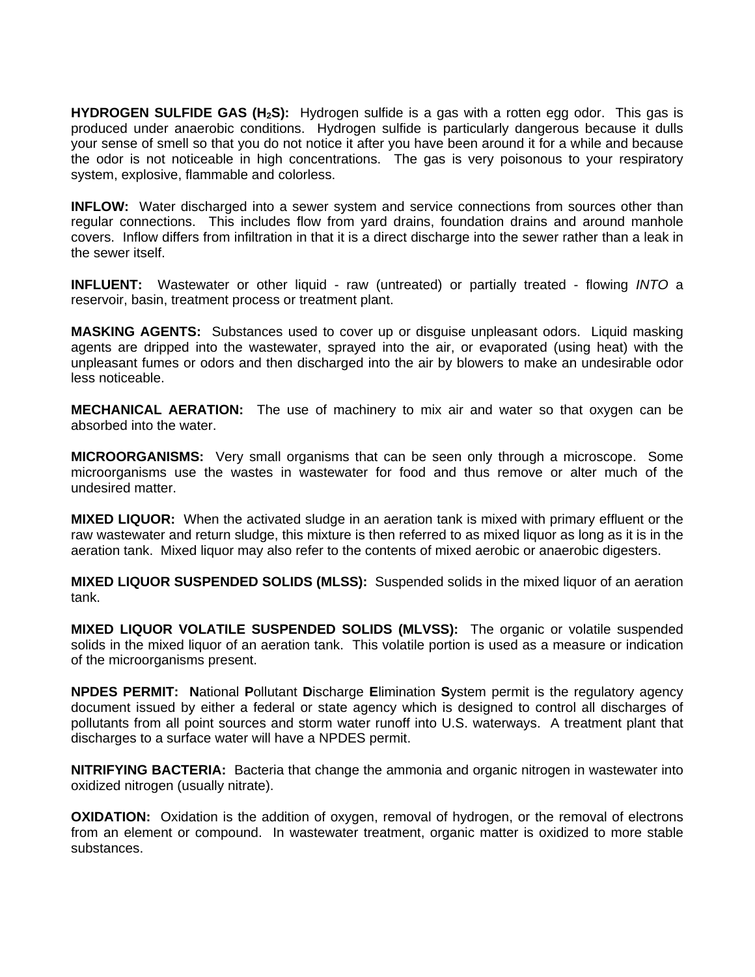**HYDROGEN SULFIDE GAS (H2S):** Hydrogen sulfide is a gas with a rotten egg odor. This gas is produced under anaerobic conditions. Hydrogen sulfide is particularly dangerous because it dulls your sense of smell so that you do not notice it after you have been around it for a while and because the odor is not noticeable in high concentrations. The gas is very poisonous to your respiratory system, explosive, flammable and colorless.

**INFLOW:** Water discharged into a sewer system and service connections from sources other than regular connections. This includes flow from yard drains, foundation drains and around manhole covers. Inflow differs from infiltration in that it is a direct discharge into the sewer rather than a leak in the sewer itself.

**INFLUENT:** Wastewater or other liquid - raw (untreated) or partially treated - flowing *INTO* a reservoir, basin, treatment process or treatment plant.

**MASKING AGENTS:** Substances used to cover up or disguise unpleasant odors. Liquid masking agents are dripped into the wastewater, sprayed into the air, or evaporated (using heat) with the unpleasant fumes or odors and then discharged into the air by blowers to make an undesirable odor less noticeable.

**MECHANICAL AERATION:** The use of machinery to mix air and water so that oxygen can be absorbed into the water.

**MICROORGANISMS:** Very small organisms that can be seen only through a microscope. Some microorganisms use the wastes in wastewater for food and thus remove or alter much of the undesired matter.

**MIXED LIQUOR:** When the activated sludge in an aeration tank is mixed with primary effluent or the raw wastewater and return sludge, this mixture is then referred to as mixed liquor as long as it is in the aeration tank. Mixed liquor may also refer to the contents of mixed aerobic or anaerobic digesters.

**MIXED LIQUOR SUSPENDED SOLIDS (MLSS):** Suspended solids in the mixed liquor of an aeration tank.

**MIXED LIQUOR VOLATILE SUSPENDED SOLIDS (MLVSS):** The organic or volatile suspended solids in the mixed liquor of an aeration tank. This volatile portion is used as a measure or indication of the microorganisms present.

**NPDES PERMIT: N**ational **P**ollutant **D**ischarge **E**limination **S**ystem permit is the regulatory agency document issued by either a federal or state agency which is designed to control all discharges of pollutants from all point sources and storm water runoff into U.S. waterways. A treatment plant that discharges to a surface water will have a NPDES permit.

**NITRIFYING BACTERIA:** Bacteria that change the ammonia and organic nitrogen in wastewater into oxidized nitrogen (usually nitrate).

**OXIDATION:** Oxidation is the addition of oxygen, removal of hydrogen, or the removal of electrons from an element or compound. In wastewater treatment, organic matter is oxidized to more stable substances.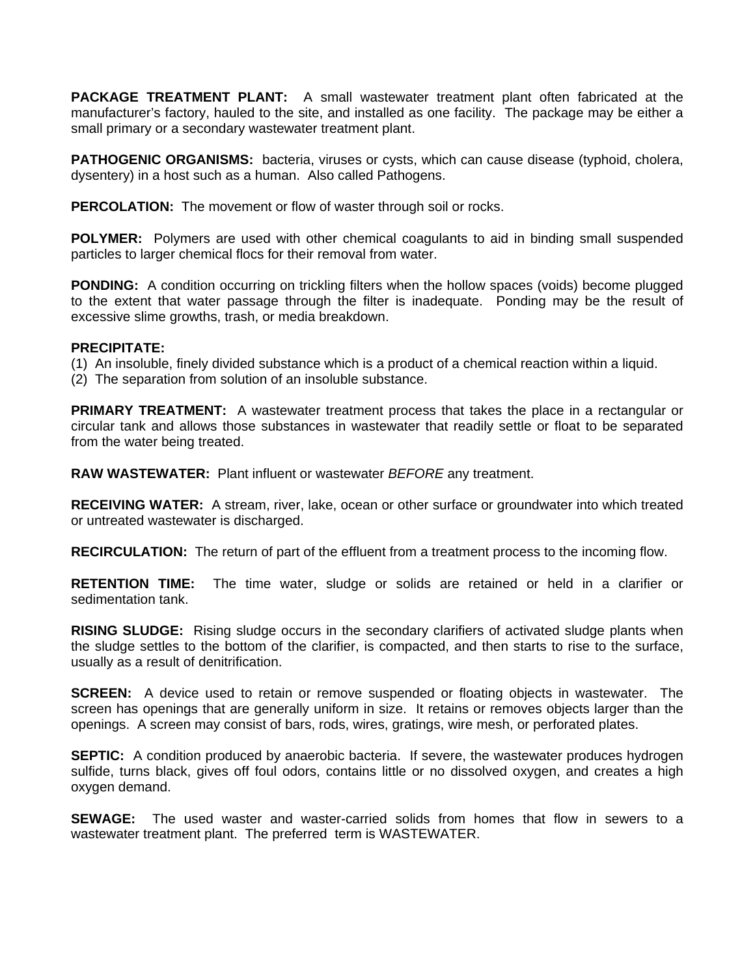**PACKAGE TREATMENT PLANT:** A small wastewater treatment plant often fabricated at the manufacturer's factory, hauled to the site, and installed as one facility. The package may be either a small primary or a secondary wastewater treatment plant.

**PATHOGENIC ORGANISMS:** bacteria, viruses or cysts, which can cause disease (typhoid, cholera, dysentery) in a host such as a human. Also called Pathogens.

**PERCOLATION:** The movement or flow of waster through soil or rocks.

**POLYMER:** Polymers are used with other chemical coagulants to aid in binding small suspended particles to larger chemical flocs for their removal from water.

**PONDING:** A condition occurring on trickling filters when the hollow spaces (voids) become plugged to the extent that water passage through the filter is inadequate. Ponding may be the result of excessive slime growths, trash, or media breakdown.

#### **PRECIPITATE:**

- (1) An insoluble, finely divided substance which is a product of a chemical reaction within a liquid.
- (2) The separation from solution of an insoluble substance.

**PRIMARY TREATMENT:** A wastewater treatment process that takes the place in a rectangular or circular tank and allows those substances in wastewater that readily settle or float to be separated from the water being treated.

**RAW WASTEWATER:** Plant influent or wastewater *BEFORE* any treatment.

**RECEIVING WATER:** A stream, river, lake, ocean or other surface or groundwater into which treated or untreated wastewater is discharged.

**RECIRCULATION:** The return of part of the effluent from a treatment process to the incoming flow.

**RETENTION TIME:** The time water, sludge or solids are retained or held in a clarifier or sedimentation tank.

**RISING SLUDGE:** Rising sludge occurs in the secondary clarifiers of activated sludge plants when the sludge settles to the bottom of the clarifier, is compacted, and then starts to rise to the surface, usually as a result of denitrification.

**SCREEN:** A device used to retain or remove suspended or floating objects in wastewater. The screen has openings that are generally uniform in size. It retains or removes objects larger than the openings. A screen may consist of bars, rods, wires, gratings, wire mesh, or perforated plates.

**SEPTIC:** A condition produced by anaerobic bacteria. If severe, the wastewater produces hydrogen sulfide, turns black, gives off foul odors, contains little or no dissolved oxygen, and creates a high oxygen demand.

**SEWAGE:** The used waster and waster-carried solids from homes that flow in sewers to a wastewater treatment plant. The preferred term is WASTEWATER.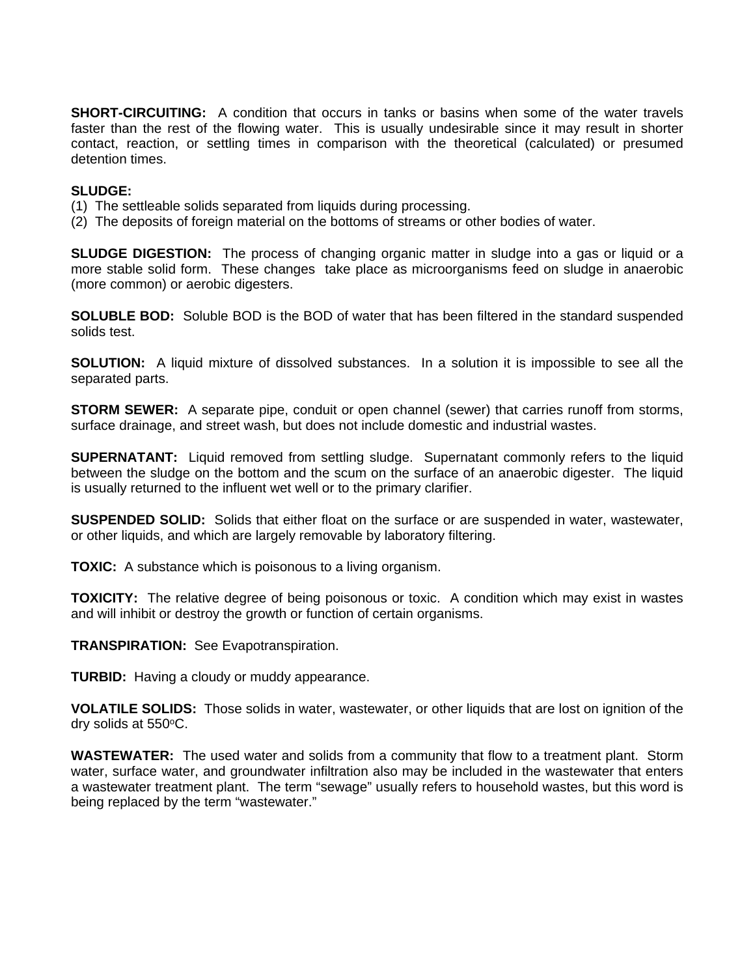**SHORT-CIRCUITING:** A condition that occurs in tanks or basins when some of the water travels faster than the rest of the flowing water. This is usually undesirable since it may result in shorter contact, reaction, or settling times in comparison with the theoretical (calculated) or presumed detention times.

#### **SLUDGE:**

- (1) The settleable solids separated from liquids during processing.
- (2) The deposits of foreign material on the bottoms of streams or other bodies of water.

**SLUDGE DIGESTION:** The process of changing organic matter in sludge into a gas or liquid or a more stable solid form. These changes take place as microorganisms feed on sludge in anaerobic (more common) or aerobic digesters.

**SOLUBLE BOD:** Soluble BOD is the BOD of water that has been filtered in the standard suspended solids test.

**SOLUTION:** A liquid mixture of dissolved substances. In a solution it is impossible to see all the separated parts.

**STORM SEWER:** A separate pipe, conduit or open channel (sewer) that carries runoff from storms, surface drainage, and street wash, but does not include domestic and industrial wastes.

**SUPERNATANT:** Liquid removed from settling sludge. Supernatant commonly refers to the liquid between the sludge on the bottom and the scum on the surface of an anaerobic digester. The liquid is usually returned to the influent wet well or to the primary clarifier.

**SUSPENDED SOLID:** Solids that either float on the surface or are suspended in water, wastewater, or other liquids, and which are largely removable by laboratory filtering.

**TOXIC:** A substance which is poisonous to a living organism.

**TOXICITY:** The relative degree of being poisonous or toxic. A condition which may exist in wastes and will inhibit or destroy the growth or function of certain organisms.

**TRANSPIRATION:** See Evapotranspiration.

**TURBID:** Having a cloudy or muddy appearance.

**VOLATILE SOLIDS:** Those solids in water, wastewater, or other liquids that are lost on ignition of the dry solids at  $550^{\circ}$ C.

**WASTEWATER:** The used water and solids from a community that flow to a treatment plant. Storm water, surface water, and groundwater infiltration also may be included in the wastewater that enters a wastewater treatment plant. The term "sewage" usually refers to household wastes, but this word is being replaced by the term "wastewater."